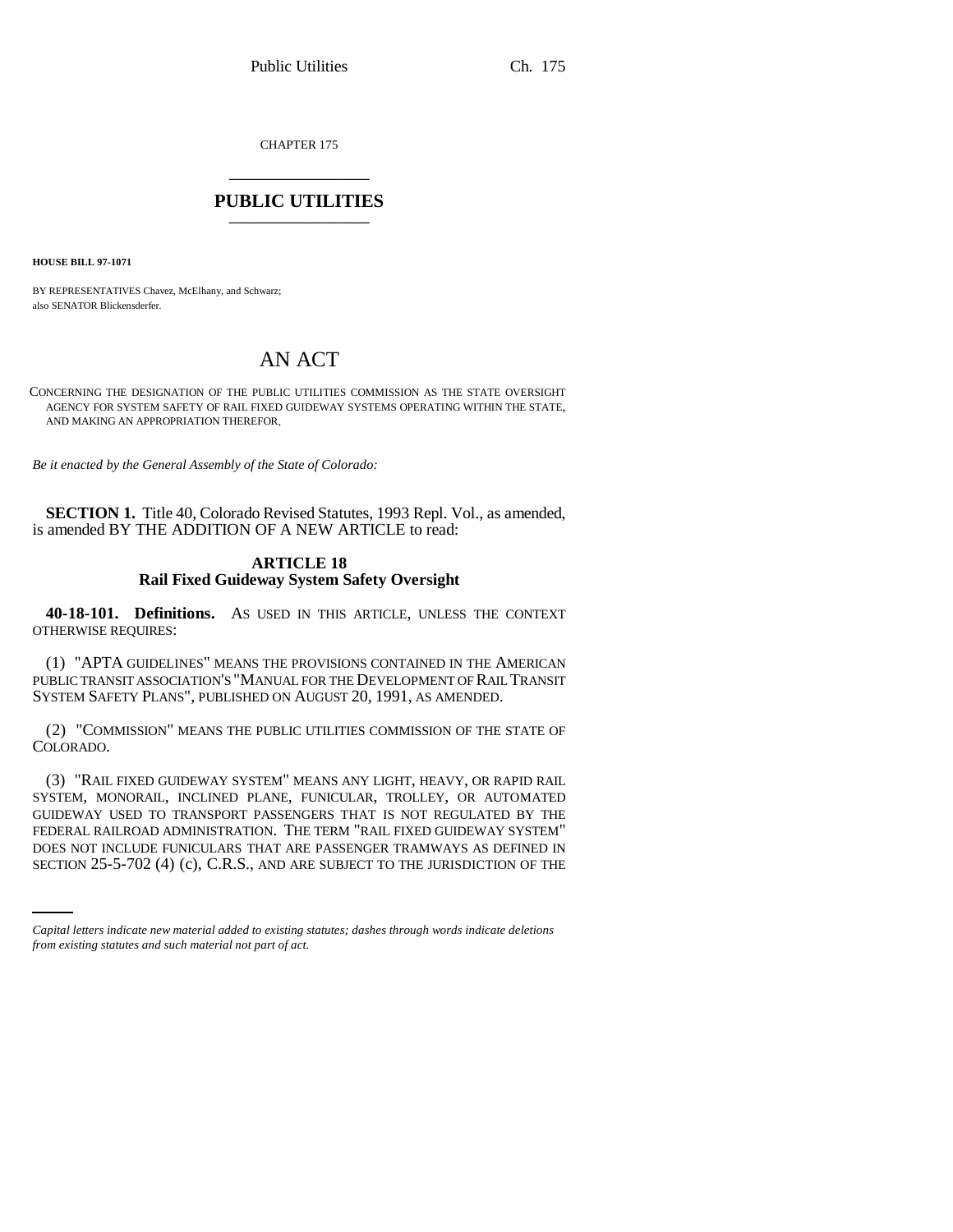CHAPTER 175 \_\_\_\_\_\_\_\_\_\_\_\_\_\_\_

## **PUBLIC UTILITIES** \_\_\_\_\_\_\_\_\_\_\_\_\_\_\_

**HOUSE BILL 97-1071**

BY REPRESENTATIVES Chavez, McElhany, and Schwarz; also SENATOR Blickensderfer.

## AN ACT

CONCERNING THE DESIGNATION OF THE PUBLIC UTILITIES COMMISSION AS THE STATE OVERSIGHT AGENCY FOR SYSTEM SAFETY OF RAIL FIXED GUIDEWAY SYSTEMS OPERATING WITHIN THE STATE, AND MAKING AN APPROPRIATION THEREFOR.

*Be it enacted by the General Assembly of the State of Colorado:*

**SECTION 1.** Title 40, Colorado Revised Statutes, 1993 Repl. Vol., as amended, is amended BY THE ADDITION OF A NEW ARTICLE to read:

## **ARTICLE 18 Rail Fixed Guideway System Safety Oversight**

**40-18-101. Definitions.** AS USED IN THIS ARTICLE, UNLESS THE CONTEXT OTHERWISE REQUIRES:

(1) "APTA GUIDELINES" MEANS THE PROVISIONS CONTAINED IN THE AMERICAN PUBLIC TRANSIT ASSOCIATION'S "MANUAL FOR THE DEVELOPMENT OF RAIL TRANSIT SYSTEM SAFETY PLANS", PUBLISHED ON AUGUST 20, 1991, AS AMENDED.

(2) "COMMISSION" MEANS THE PUBLIC UTILITIES COMMISSION OF THE STATE OF COLORADO.

FEDERAL RAILROAD ADMINISTRATION. THE TERM "RAIL FIXED GUIDEWAY SYSTEM" (3) "RAIL FIXED GUIDEWAY SYSTEM" MEANS ANY LIGHT, HEAVY, OR RAPID RAIL SYSTEM, MONORAIL, INCLINED PLANE, FUNICULAR, TROLLEY, OR AUTOMATED GUIDEWAY USED TO TRANSPORT PASSENGERS THAT IS NOT REGULATED BY THE DOES NOT INCLUDE FUNICULARS THAT ARE PASSENGER TRAMWAYS AS DEFINED IN SECTION 25-5-702 (4) (c), C.R.S., AND ARE SUBJECT TO THE JURISDICTION OF THE

*Capital letters indicate new material added to existing statutes; dashes through words indicate deletions from existing statutes and such material not part of act.*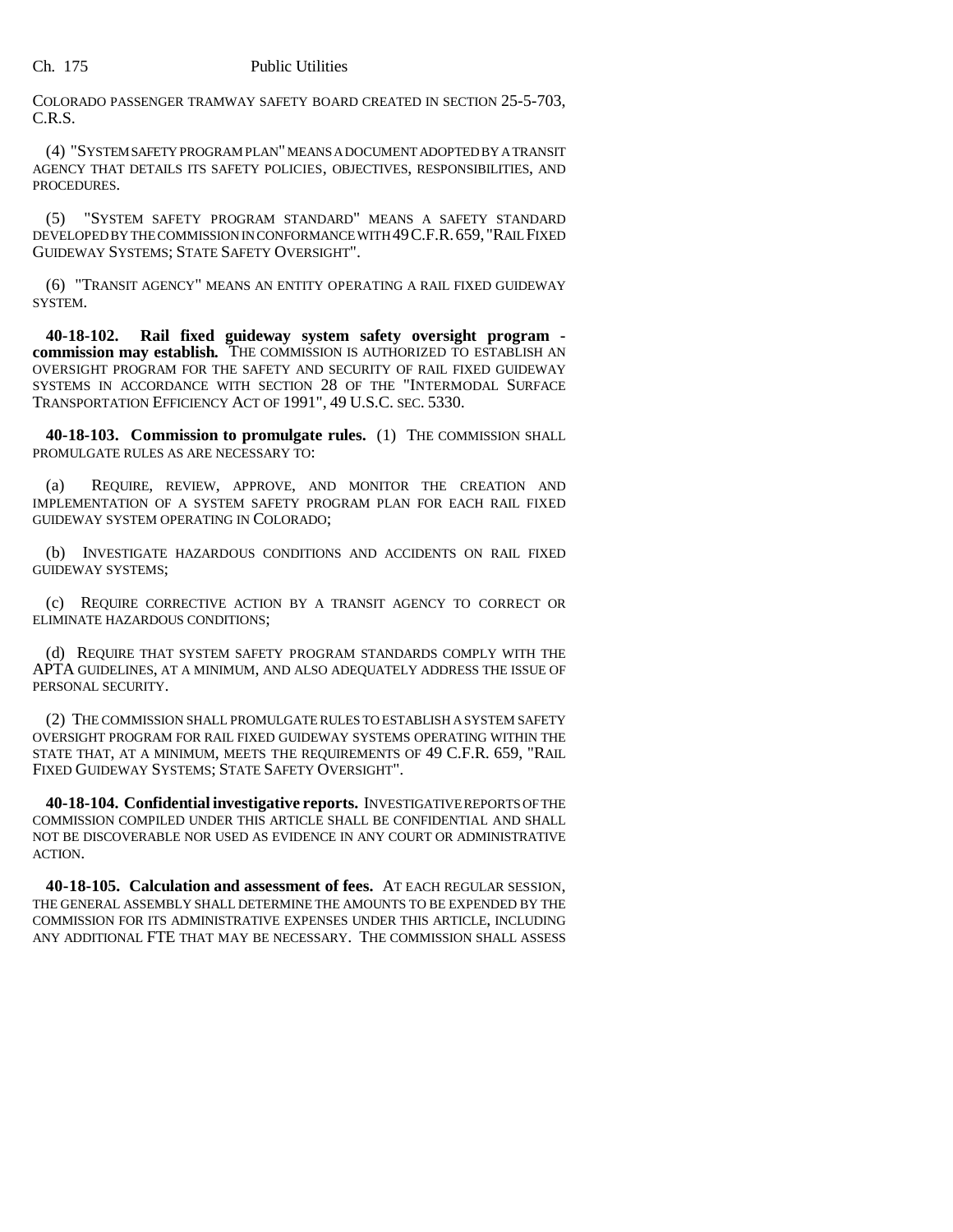COLORADO PASSENGER TRAMWAY SAFETY BOARD CREATED IN SECTION 25-5-703, C.R.S.

(4) "SYSTEM SAFETY PROGRAM PLAN" MEANS A DOCUMENT ADOPTED BY A TRANSIT AGENCY THAT DETAILS ITS SAFETY POLICIES, OBJECTIVES, RESPONSIBILITIES, AND PROCEDURES.

(5) "SYSTEM SAFETY PROGRAM STANDARD" MEANS A SAFETY STANDARD DEVELOPED BY THE COMMISSION IN CONFORMANCE WITH 49C.F.R.659, "RAIL FIXED GUIDEWAY SYSTEMS; STATE SAFETY OVERSIGHT".

(6) "TRANSIT AGENCY" MEANS AN ENTITY OPERATING A RAIL FIXED GUIDEWAY SYSTEM.

**40-18-102. Rail fixed guideway system safety oversight program commission may establish.** THE COMMISSION IS AUTHORIZED TO ESTABLISH AN OVERSIGHT PROGRAM FOR THE SAFETY AND SECURITY OF RAIL FIXED GUIDEWAY SYSTEMS IN ACCORDANCE WITH SECTION 28 OF THE "INTERMODAL SURFACE TRANSPORTATION EFFICIENCY ACT OF 1991", 49 U.S.C. SEC. 5330.

**40-18-103. Commission to promulgate rules.** (1) THE COMMISSION SHALL PROMULGATE RULES AS ARE NECESSARY TO:

(a) REQUIRE, REVIEW, APPROVE, AND MONITOR THE CREATION AND IMPLEMENTATION OF A SYSTEM SAFETY PROGRAM PLAN FOR EACH RAIL FIXED GUIDEWAY SYSTEM OPERATING IN COLORADO;

(b) INVESTIGATE HAZARDOUS CONDITIONS AND ACCIDENTS ON RAIL FIXED GUIDEWAY SYSTEMS;

(c) REQUIRE CORRECTIVE ACTION BY A TRANSIT AGENCY TO CORRECT OR ELIMINATE HAZARDOUS CONDITIONS;

(d) REQUIRE THAT SYSTEM SAFETY PROGRAM STANDARDS COMPLY WITH THE APTA GUIDELINES, AT A MINIMUM, AND ALSO ADEQUATELY ADDRESS THE ISSUE OF PERSONAL SECURITY.

(2) THE COMMISSION SHALL PROMULGATE RULES TO ESTABLISH A SYSTEM SAFETY OVERSIGHT PROGRAM FOR RAIL FIXED GUIDEWAY SYSTEMS OPERATING WITHIN THE STATE THAT, AT A MINIMUM, MEETS THE REQUIREMENTS OF 49 C.F.R. 659, "RAIL FIXED GUIDEWAY SYSTEMS; STATE SAFETY OVERSIGHT".

**40-18-104. Confidential investigative reports.** INVESTIGATIVE REPORTS OF THE COMMISSION COMPILED UNDER THIS ARTICLE SHALL BE CONFIDENTIAL AND SHALL NOT BE DISCOVERABLE NOR USED AS EVIDENCE IN ANY COURT OR ADMINISTRATIVE ACTION.

**40-18-105. Calculation and assessment of fees.** AT EACH REGULAR SESSION, THE GENERAL ASSEMBLY SHALL DETERMINE THE AMOUNTS TO BE EXPENDED BY THE COMMISSION FOR ITS ADMINISTRATIVE EXPENSES UNDER THIS ARTICLE, INCLUDING ANY ADDITIONAL FTE THAT MAY BE NECESSARY. THE COMMISSION SHALL ASSESS